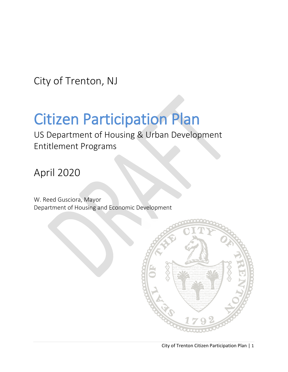City of Trenton, NJ

# Citizen Participation Plan<br>US Department of Housing & Urban Development

Entitlement Programs

# April 2020

W. Reed Gusciora, Mayor Department of Housing and Economic Development

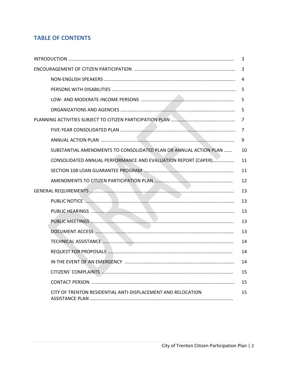# **TABLE OF CONTENTS**

|                                                                   | 3  |
|-------------------------------------------------------------------|----|
|                                                                   | 3  |
|                                                                   | 4  |
|                                                                   | 5  |
|                                                                   | 5  |
|                                                                   | 5  |
|                                                                   | 7  |
|                                                                   | 7  |
|                                                                   | 9  |
| SUBSTANTIAL AMENDMENTS TO CONSOLIDATED PLAN OR ANNUAL ACTION PLAN | 10 |
| CONSOLIDATED ANNUAL PERFORMANCE AND EVALUATION REPORT (CAPER)     | 11 |
|                                                                   | 11 |
|                                                                   | 12 |
|                                                                   | 13 |
|                                                                   | 13 |
|                                                                   | 13 |
|                                                                   | 13 |
|                                                                   | 13 |
|                                                                   | 14 |
|                                                                   | 14 |
|                                                                   | 14 |
|                                                                   | 15 |
|                                                                   | 15 |
| CITY OF TRENTON RESIDENTIAL ANTI-DISPLACEMENT AND RELOCATION      | 15 |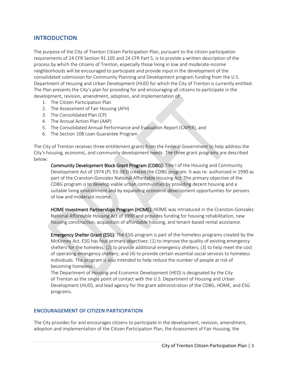# **INTRODUCTION**

The purpose of the City of Trenton Citizen Participation Plan, pursuant to the citizen participation requirements of 24 CFR Section 91.105 and 24 CFR Part 5, is to provide a written description of the process by which the citizens of Trenton, especially those living in low and moderate-income neighborhoods will be encouraged to participate and provide input in the development of the consolidated submission for Community Planning and Development program funding from the U.S. Department of Housing and Urban Development (HUD) for which the City of Trenton is currently entitled. The Plan presents the City's plan for providing for and encouraging all citizens to participate in the development, revision, amendment, adoption, and implementation of:

- 1. The Citizen Participation Plan
- 2. The Assessment of Fair Housing (AFH)
- 3. The Consolidated Plan (CP)
- 4. The Annual Action Plan (AAP)
- 5. The Consolidated Annual Performance and Evaluation Report (CAPER), and
- 6. The Section 108 Loan Guarantee Program

The City of Trenton receives three entitlement grants from the Federal Government to help address the City's housing, economic, and community development needs. The three grant programs are described below:

Community Development Block Grant Program (CDBG): Title I of the Housing and Community Development Act of 1974 (PL 93-383) created the CDBG program. It was re- authorized in 1990 as part of the Cranston-Gonzalez National Affordable Housing Act. The primary objective of the CDBG program is to develop viable urban communities by providing decent housing and a suitable living environment and by expanding economic development opportunities for persons of low and moderate income.

HOME Investment Partnerships Program (HOME): HOME was introduced in the Cranston-Gonzalez National Affordable Housing Act of 1990 and provides funding for housing rehabilitation, new housing construction, acquisition of affordable housing, and tenant-based rental assistance.

Emergency Shelter Grant (ESG): The ESG program is part of the homeless programs created by the McKinney Act. ESG has four primary objectives: (1) to improve the quality of existing emergency shelters for the homeless; (2) to provide additional emergency shelters; (3) to help meet the cost of operating emergency shelters; and (4) to provide certain essential social services to homeless individuals. The program is also intended to help reduce the number of people at risk of becoming homeless.

The Department of Housing and Economic Development (HED) is designated by the City of Trenton as the single point of contact with the U.S. Department of Housing and Urban Development (HUD), and lead agency for the grant administration of the CDBG, HOME, and ESG programs.

#### **ENCOURAGEMENT OF CITIZEN PARTICIPATION**

The City provides for and encourages citizens to participate in the development, revision, amendment, adoption and implementation of the Citizen Participation Plan, the Assessment of Fair Housing, the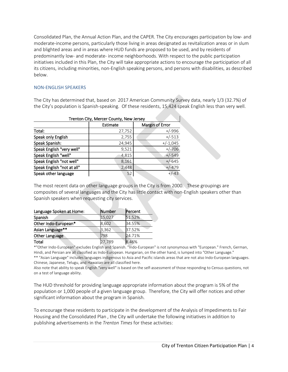Consolidated Plan, the Annual Action Plan, and the CAPER. The City encourages participation by low- and moderate-income persons, particularly those living in areas designated as revitalization areas or in slum and blighted areas and in areas where HUD funds are proposed to be used, and by residents of predominantly low- and moderate- income neighborhoods. With respect to the public participation initiatives included in this Plan, the City will take appropriate actions to encourage the participation of all its citizens, including minorities, non-English speaking persons, and persons with disabilities, as described below.

#### NON-ENGLISH SPEAKERS

The City has determined that, based on 2017 American Community Survey data, nearly 1/3 (32.7%) of the City's population is Spanish-speaking. Of these residents, 15,424 speak English less than very well.

| Trenton City, Mercer County, New Jersey |          |                 |  |  |
|-----------------------------------------|----------|-----------------|--|--|
|                                         | Estimate | Margin of Error |  |  |
| Total:                                  | 27,752   | $+/-996$        |  |  |
| Speak only English                      | 2,755    | $+/-513$        |  |  |
| Speak Spanish:                          | 24,945   | $+/-1,045$      |  |  |
| Speak English "very well"               | 9,521    | $+/-706$        |  |  |
| Speak English "well"                    | 4,815    | $+/-549$        |  |  |
| Speak English "not well"                | 8,161    | $+/-645$        |  |  |
| Speak English "not at all"              | 2,448    | $+/-479$        |  |  |
| Speak other language                    | 52       | $+/-43$         |  |  |

The most recent data on other language groups in the City is from 2000. These groupings are composites of several languages and the City has little contact with non-English speakers other than Spanish speakers when requesting city services.

| Language Spoken at Home: | Number | Percent |
|--------------------------|--------|---------|
| Spanish                  | 15,027 | 51.52%  |
| Other Indo-European*     | 8.602  | 34.55%  |
| Asian Language**         | 3,362  | 37.52%  |
| Other Language           | 798    | 24.71%  |
| Total                    | 27,789 | 8.46%   |

\*"Other Indo-European" excludes English and Spanish. "Indo-European" is not synonymous with "European." French, German, Hindi, and Persian are all classified as Indo-European. Hungarian, on the other hand, is lumped into "Other Language."

\*\* "Asian Language" includes languages indigenous to Asia and Pacific islands areas that are not also Indo-European languages. Chinese, Japanese, Telugu, and Hawaiian are all classified here.

Also note that ability to speak English "very well" is based on the self-assessment of those responding to Census questions, not on a test of language ability.

The HUD threshold for providing language appropriate information about the program is 5% of the population or 1,000 people of a given language group. Therefore, the City will offer notices and other significant information about the program in Spanish.

To encourage these residents to participate in the development of the Analysis of Impediments to Fair Housing and the Consolidated Plan , the City will undertake the following initiatives in addition to publishing advertisements in the *Trenton Times* for these activities: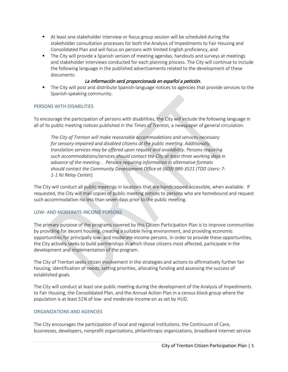- At least one stakeholder interview or focus group session will be scheduled during the stakeholder consultation processes for both the Analysis of Impediments to Fair Housing and Consolidated Plan and will focus on persons with limited English proficiency, and
- **The City will provide a Spanish version of meeting agendas, handouts and surveys at meetings** and stakeholder interviews conducted for each planning process. The City will continue to include the following language in the published advertisements related to the development of these documents:

# La información será proporcionada en español a petición.

**The City will post and distribute Spanish-language notices to agencies that provide services to the** Spanish-speaking community.

#### PERSONS WITH DISABILITIES

To encourage the participation of persons with disabilities, the City will include the following language in all of its public meeting notices published in the *Times of Trenton,* a newspaper of general circulation.

*The City of Trenton will make reasonable accommodations and services necessary for sensory-impaired and disabled citizens at the public meeting. Additionally, translation services may be offered upon request and availability. Persons requiring such accommodations/services should contact the City at least three working days in advance of the meeting. . Persons requiring information in alternative formats should contact the Community Development Office at (609) 989-3521 (TDD Users: 7- 1-1 NJ Relay Center).* 

The City will conduct all public meetings in locations that are handicapped-accessible, when available. If requested, the City will mail copies of public meeting notices to persons who are homebound and request such accommodation no less than seven days prior to the public meeting.

#### LOW- AND MODERATE-INCOME PERSONS

The primary purpose of the programs covered by this Citizen Participation Plan is to improve communities by providing for decent housing, creating a suitable living environment, and providing economic opportunities for principally low- and moderate-income persons. In order to provide these opportunities, the City actively seeks to build partnerships in which those citizens most affected, participate in the development and implementation of the program.

The City of Trenton seeks citizen involvement in the strategies and actions to affirmatively further fair housing, identification of needs, setting priorities, allocating funding and assessing the success of established goals.

The City will conduct at least one public meeting during the development of the Analysis of Impediments to Fair Housing, the Consolidated Plan, and the Annual Action Plan in a census block group where the population is at least 51% of low- and moderate-income on as set by HUD.

#### ORGANIZATIONS AND AGENCIES

The City encourages the participation of local and regional institutions, the Continuum of Care, businesses, developers, nonprofit organizations, philanthropic organizations, broadband internet service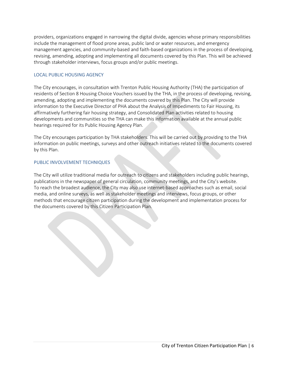providers, organizations engaged in narrowing the digital divide, agencies whose primary responsibilities include the management of flood prone areas, public land or water resources, and emergency management agencies, and community-based and faith-based organizations in the process of developing, revising, amending, adopting and implementing all documents covered by this Plan. This will be achieved through stakeholder interviews, focus groups and/or public meetings.

#### LOCAL PUBLIC HOUSING AGENCY

The City encourages, in consultation with Trenton Public Housing Authority (THA) the participation of residents of Section 8 Housing Choice Vouchers issued by the THA, in the process of developing, revising, amending, adopting and implementing the documents covered by this Plan. The City will provide information to the Executive Director of PHA about the Analysis of Impediments to Fair Housing, its affirmatively furthering fair housing strategy, and Consolidated Plan activities related to housing developments and communities so the THA can make this information available at the annual public hearings required for its Public Housing Agency Plan.

The City encourages participation by THA stakeholders. This will be carried out by providing to the THA information on public meetings, surveys and other outreach initiatives related to the documents covered by this Plan.

# PUBLIC INVOLVEMENT TECHNIQUES

The City will utilize traditional media for outreach to citizens and stakeholders including public hearings, publications in the newspaper of general circulation, community meetings, and the City's website. To reach the broadest audience, the City may also use internet-based approaches such as email, social media, and online surveys, as well as stakeholder meetings and interviews, focus groups, or other methods that encourage citizen participation during the development and implementation process for the documents covered by this Citizen Participation Plan.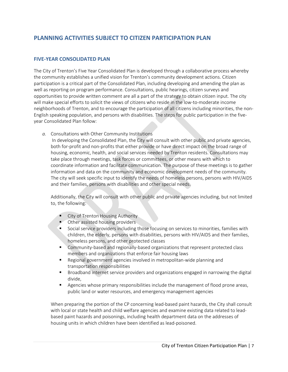# **PLANNING ACTIVITIES SUBJECT TO CITIZEN PARTICIPATION PLAN**

# **FIVE-YEAR CONSOLIDATED PLAN**

The City of Trenton's Five Year Consolidated Plan is developed through a collaborative process whereby the community establishes a unified vision for Trenton's community development actions. Citizen participation is a critical part of the Consolidated Plan, including developing and amending the plan as well as reporting on program performance. Consultations, public hearings, citizen surveys and opportunities to provide written comment are all a part of the strategy to obtain citizen input. The city will make special efforts to solicit the views of citizens who reside in the low-to-moderate income neighborhoods of Trenton, and to encourage the participation of all citizens including minorities, the non-English speaking population, and persons with disabilities. The steps for public participation in the fiveyear Consolidated Plan follow:

*a.* Consultations with Other Community Institutions

In developing the Consolidated Plan, the City will consult with other public and private agencies, both for-profit and non-profits that either provide or have direct impact on the broad range of housing, economic, health, and social services needed by Trenton residents. Consultations may take place through meetings, task forces or committees, or other means with which to coordinate information and facilitate communication. The purpose of these meetings is to gather information and data on the community and economic development needs of the community. The city will seek specific input to identify the needs of homeless persons, persons with HIV/AIDS and their families, persons with disabilities and other special needs.

Additionally, the City will consult with other public and private agencies including, but not limited to, the following:

- **City of Trenton Housing Authority**
- **Other assisted housing providers**
- **Social service providers including those focusing on services to minorities, families with** children, the elderly, persons with disabilities, persons with HIV/AIDS and their families, homeless persons, and other protected classes
- **Community-based and regionally-based organizations that represent protected class** members and organizations that enforce fair housing laws
- Regional government agencies involved in metropolitan-wide planning and transportation responsibilities
- **Broadband internet service providers and organizations engaged in narrowing the digital** divide,
- Agencies whose primary responsibilities include the management of flood prone areas, public land or water resources, and emergency management agencies

When preparing the portion of the CP concerning lead-based paint hazards, the City shall consult with local or state health and child welfare agencies and examine existing data related to leadbased paint hazards and poisonings, including health department data on the addresses of housing units in which children have been identified as lead-poisoned.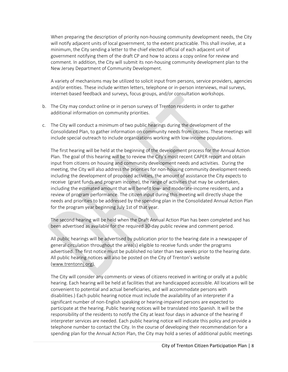When preparing the description of priority non-housing community development needs, the City will notify adjacent units of local government, to the extent practicable. This shall involve, at a minimum, the City sending a letter to the chief elected official of each adjacent unit of government notifying them of the draft CP and how to access a copy online for review and comment. In addition, the City will submit its non-housing community development plan to the New Jersey Department of Community Development.

A variety of mechanisms may be utilized to solicit input from persons, service providers, agencies and/or entities. These include written letters, telephone or in-person interviews, mail surveys, internet-based feedback and surveys, focus groups, and/or consultation workshops.

- b. The City may conduct online or in person surveys of Trenton residents in order to gather additional information on community priorities.
- c. The City will conduct a minimum of two public hearings during the development of the Consolidated Plan, to gather information on community needs from citizens. These meetings will include special outreach to include organizations working with low-income populations.

The first hearing will be held at the beginning of the development process for the Annual Action Plan. The goal of this hearing will be to review the City's most recent CAPER report and obtain input from citizens on housing and community development needs and activities. During the meeting, the City will also address the priorities for non-housing community development needs including the development of proposed activities, the amount of assistance the City expects to receive (grant funds and program income), the range of activities that may be undertaken, including the estimated amount that will benefit low- and moderate-income residents, and a review of program performance. The citizen input during this meeting will directly shape the needs and priorities to be addressed by the spending plan in the Consolidated Annual Action Plan for the program year beginning July 1st of that year.

The second hearing will be held when the Draft Annual Action Plan has been completed and has been advertised as available for the required 30-day public review and comment period.

All public hearings will be advertised by publication prior to the hearing date in a newspaper of general circulation throughout the area(s) eligible to receive funds under the programs advertised. The first notice must be published no later than two weeks prior to the hearing date. All public hearing notices will also be posted on the City of Trenton's website [\(www.trentonnj.org\)](http://www.trentonnj.org/).

The City will consider any comments or views of citizens received in writing or orally at a public hearing. Each hearing will be held at facilities that are handicapped accessible. All locations will be convenient to potential and actual beneficiaries, and will accommodate persons with disabilities.) Each public hearing notice must include the availability of an interpreter if a significant number of non-English speaking or hearing-impaired persons are expected to participate at the hearing. Public hearing notices will be translated into Spanish. It will be the responsibility of the residents to notify the City at least four days in advance of the hearing if interpreter services are needed. Each public hearing notice will indicate this policy and provide a telephone number to contact the City. In the course of developing their recommendation for a spending plan for the Annual Action Plan, the City may hold a series of additional public meetings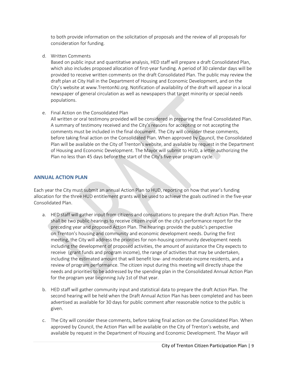to both provide information on the solicitation of proposals and the review of all proposals for consideration for funding.

d. Written Comments

Based on public input and quantitative analysis, HED staff will prepare a draft Consolidated Plan, which also includes proposed allocation of first-year funding. A period of 30 calendar days will be provided to receive written comments on the draft Consolidated Plan. The public may review the draft plan at City Hall in the Department of Housing and Economic Development, and on the City's website at www.TrentonNJ.org. Notification of availability of the draft will appear in a local newspaper of general circulation as well as newspapers that target minority or special needs populations.

e. Final Action on the Consolidated Plan

All written or oral testimony provided will be considered in preparing the final Consolidated Plan. A summary of testimony received and the City's reasons for accepting or not accepting the comments must be included in the final document. The City will consider these comments, before taking final action on the Consolidated Plan. When approved by Council, the Consolidated Plan will be available on the City of Trenton's website, and available by request in the Department of Housing and Economic Development. The Mayor will submit to HUD, a letter authorizing the Plan no less than 45 days before the start of the City's five-year program cycle.

#### **ANNUAL ACTION PLAN**

Each year the City must submit an annual Action Plan to HUD, reporting on how that year's funding allocation for the three HUD entitlement grants will be used to achieve the goals outlined in the five-year Consolidated Plan.

- a. HED staff will gather input from citizens and consultations to prepare the draft Action Plan. There shall be two public hearings to receive citizen input on the city's performance report for the preceding year and proposed Action Plan. The hearings provide the public's perspective on Trenton's housing and community and economic development needs. During the first meeting, the City will address the priorities for non-housing community development needs including the development of proposed activities, the amount of assistance the City expects to receive (grant funds and program income), the range of activities that may be undertaken, including the estimated amount that will benefit low- and moderate-income residents, and a review of program performance. The citizen input during this meeting will directly shape the needs and priorities to be addressed by the spending plan in the Consolidated Annual Action Plan for the program year beginning July 1st of that year.
- b. HED staff will gather community input and statistical data to prepare the draft Action Plan. The second hearing will be held when the Draft Annual Action Plan has been completed and has been advertised as available for 30 days for public comment after reasonable notice to the public is given.
- c. The City will consider these comments, before taking final action on the Consolidated Plan. When approved by Council, the Action Plan will be available on the City of Trenton's website, and available by request in the Department of Housing and Economic Development. The Mayor will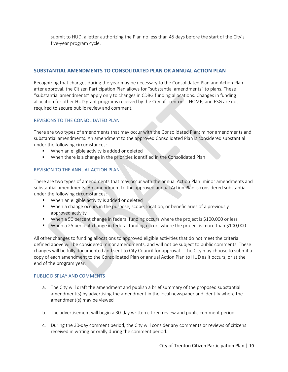submit to HUD, a letter authorizing the Plan no less than 45 days before the start of the City's five-year program cycle.

# **SUBSTANTIAL AMENDMENTS TO CONSOLIDATED PLAN OR ANNUAL ACTION PLAN**

Recognizing that changes during the year may be necessary to the Consolidated Plan and Action Plan after approval, the Citizen Participation Plan allows for "substantial amendments" to plans. These "substantial amendments" apply only to changes in CDBG funding allocations. Changes in funding allocation for other HUD grant programs received by the City of Trenton -- HOME, and ESG are not required to secure public review and comment.

#### REVISIONS TO THE CONSOLIDATED PLAN

There are two types of amendments that may occur with the Consolidated Plan: minor amendments and substantial amendments. An amendment to the approved Consolidated Plan is considered substantial under the following circumstances:

- **When an eligible activity is added or deleted**
- **When there is a change in the priorities identified in the Consolidated Plan**

#### REVISION TO THE ANNUAL ACTION PLAN

There are two types of amendments that may occur with the annual Action Plan: minor amendments and substantial amendments. An amendment to the approved annual Action Plan is considered substantial under the following circumstances:

- **When an eligible activity is added or deleted**
- **When a change occurs in the purpose, scope, location, or beneficiaries of a previously** approved activity
- When a 50 percent change in federal funding occurs where the project is \$100,000 or less
- When a 25 percent change in federal funding occurs where the project is more than \$100,000

All other changes to funding allocations to approved eligible activities that do not meet the criteria defined above will be considered minor amendments, and will not be subject to public comments. These changes will be fully documented and sent to City Council for approval. The City may choose to submit a copy of each amendment to the Consolidated Plan or annual Action Plan to HUD as it occurs, or at the end of the program year.

#### PUBLIC DISPLAY AND COMMENTS

- a. The City will draft the amendment and publish a brief summary of the proposed substantial amendment(s) by advertising the amendment in the local newspaper and identify where the amendment(s) may be viewed
- b. The advertisement will begin a 30-day written citizen review and public comment period.
- c. During the 30-day comment period, the City will consider any comments or reviews of citizens received in writing or orally during the comment period.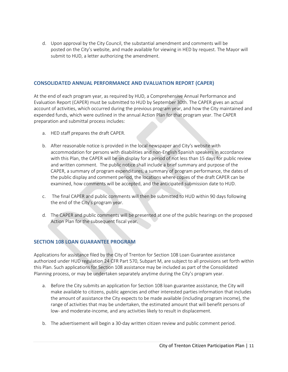d. Upon approval by the City Council, the substantial amendment and comments will be posted on the City's website, and made available for viewing in HED by request. The Mayor will submit to HUD, a letter authorizing the amendment.

#### **CONSOLIDATED ANNUAL PERFORMANCE AND EVALUATION REPORT (CAPER)**

At the end of each program year, as required by HUD, a Comprehensive Annual Performance and Evaluation Report (CAPER) must be submitted to HUD by September 30th. The CAPER gives an actual account of activities, which occurred during the previous program year, and how the City maintained and expended funds, which were outlined in the annual Action Plan for that program year. The CAPER preparation and submittal process includes:

- a. HED staff prepares the draft CAPER.
- b. After reasonable notice is provided in the local newspaper and City's website with accommodation for persons with disabilities and non-English Spanish speakers in accordance with this Plan, the CAPER will be on display for a period of not less than 15 days for public review and written comment. The public notice shall include a brief summary and purpose of the CAPER, a summary of program expenditures, a summary of program performance, the dates of the public display and comment period, the locations where copies of the draft CAPER can be examined, how comments will be accepted, and the anticipated submission date to HUD.
- c. The final CAPER and public comments will then be submitted to HUD within 90 days following the end of the City's program year.
- d. The CAPER and public comments will be presented at one of the public hearings on the proposed Action Plan for the subsequent fiscal year.

# **SECTION 108 LOAN GUARANTEE PROGRAM**

Applications for assistance filed by the City of Trenton for Section 108 Loan Guarantee assistance authorized under HUD regulation 24 CFR Part 570, Subpart M, are subject to all provisions set forth within this Plan. Such applications for Section 108 assistance may be included as part of the Consolidated Planning process, or may be undertaken separately anytime during the City's program year.

- a. Before the City submits an application for Section 108 loan guarantee assistance, the City will make available to citizens, public agencies and other interested parties information that includes the amount of assistance the City expects to be made available (including program income), the range of activities that may be undertaken, the estimated amount that will benefit persons of low- and moderate-income, and any activities likely to result in displacement.
- b. The advertisement will begin a 30-day written citizen review and public comment period.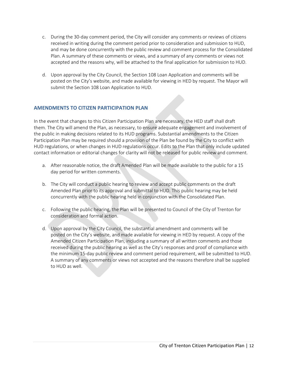- c. During the 30-day comment period, the City will consider any comments or reviews of citizens received in writing during the comment period prior to consideration and submission to HUD, and may be done concurrently with the public review and comment process for the Consolidated Plan. A summary of these comments or views, and a summary of any comments or views not accepted and the reasons why, will be attached to the final application for submission to HUD.
- d. Upon approval by the City Council, the Section 108 Loan Application and comments will be posted on the City's website, and made available for viewing in HED by request. The Mayor will submit the Section 108 Loan Application to HUD.

# **AMENDMENTS TO CITIZEN PARTICIPATION PLAN**

In the event that changes to this Citizen Participation Plan are necessary, the HED staff shall draft them. The City will amend the Plan, as necessary, to ensure adequate engagement and involvement of the public in making decisions related to its HUD programs. Substantial amendments to the Citizen Participation Plan may be required should a provision of the Plan be found by the City to conflict with HUD regulations, or when changes in HUD regulations occur. Edits to the Plan that only include updated contact information or editorial changes for clarity will not be released for public review and comment.

- a. After reasonable notice, the draft Amended Plan will be made available to the public for a 15 day period for written comments.
- b. The City will conduct a public hearing to review and accept public comments on the draft Amended Plan prior to its approval and submittal to HUD. This public hearing may be held concurrently with the public hearing held in conjunction with the Consolidated Plan.
- c. Following the public hearing, the Plan will be presented to Council of the City of Trenton for consideration and formal action.
- d. Upon approval by the City Council, the substantial amendment and comments will be posted on the City's website, and made available for viewing in HED by request. A copy of the Amended Citizen Participation Plan, including a summary of all written comments and those received during the public hearing as well as the City's responses and proof of compliance with the minimum 15-day public review and comment period requirement, will be submitted to HUD. A summary of any comments or views not accepted and the reasons therefore shall be supplied to HUD as well.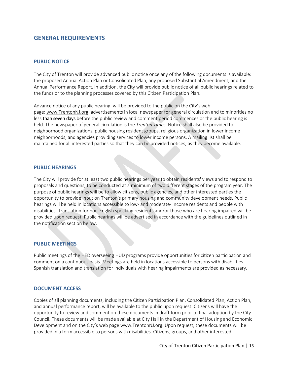# **GENERAL REQUIREMENTS**

#### **PUBLIC NOTICE**

The City of Trenton will provide advanced public notice once any of the following documents is available: the proposed Annual Action Plan or Consolidated Plan, any proposed Substantial Amendment, and the Annual Performance Report. In addition, the City will provide public notice of all public hearings related to the funds or to the planning processes covered by this Citizen Participation Plan.

Advance notice of any public hearing, will be provided to the public on the City's web page: [www.TrentonNJ.org,](http://www.trentonnj.org/) advertisements in local newspaper for general circulation and to minorities no less than seven days before the public review and comment period commences or the public hearing is held. The newspaper of general circulation is the *Trenton Times.* Notice shall also be provided to neighborhood organizations, public housing resident groups, religious organization in lower income neighborhoods, and agencies providing services to lower income persons. A mailing list shall be maintained for all interested parties so that they can be provided notices, as they become available.

#### **PUBLIC HEARINGS**

The City will provide for at least two public hearings per year to obtain residents' views and to respond to proposals and questions, to be conducted at a minimum of two different stages of the program year. The purpose of public hearings will be to allow citizens, public agencies, and other interested parties the opportunity to provide input on Trenton's primary housing and community development needs. Public hearings will be held in locations accessible to low- and moderate- income residents and people with disabilities. Translation for non-English speaking residents and/or those who are hearing impaired will be provided upon request. Public hearings will be advertised in accordance with the guidelines outlined in the notification section below.

#### **PUBLIC MEETINGS**

Public meetings of the HED overseeing HUD programs provide opportunities for citizen participation and comment on a continuous basis. Meetings are held in locations accessible to persons with disabilities. Spanish translation and translation for individuals with hearing impairments are provided as necessary.

#### **DOCUMENT ACCESS**

Copies of all planning documents, including the Citizen Participation Plan, Consolidated Plan, Action Plan, and annual performance report, will be available to the public upon request. Citizens will have the opportunity to review and comment on these documents in draft form prior to final adoption by the City Council. These documents will be made available at City Hall in the Department of Housing and Economic Development and on the City's web page www.TrentonNJ.org. Upon request, these documents will be provided in a form accessible to persons with disabilities. Citizens, groups, and other interested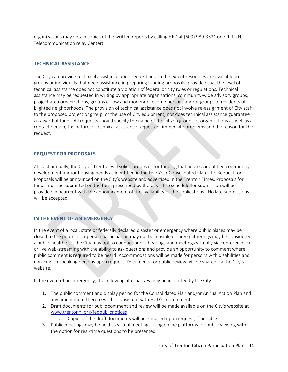organizations may obtain copies of the written reports by calling HED at (609) 989-3521 or 7-1-1 (NJ Telecommunication relay Center).

# **TECHNICAL ASSISTANCE**

The City can provide technical assistance upon request and to the extent resources are available to groups or individuals that need assistance in preparing funding proposals, provided that the level of technical assistance does not constitute a violation of federal or city rules or regulations. Technical assistance may be requested in writing by appropriate organizations, community-wide advisory groups, project area organizations, groups of low and moderate income persons and/or groups of residents of blighted neighborhoods. The provision of technical assistance does not involve re-assignment of City staff to the proposed project or group, or the use of City equipment, nor does technical assistance guarantee an award of funds. All requests should specify the name of the citizen groups or organizations as well as a contact person, the nature of technical assistance requested, immediate problems and the reason for the request.

# **REQUEST FOR PROPOSALS**

At least annually, the City of Trenton will solicit proposals for funding that address identified community development and/or housing needs as identified in the Five Year Consolidated Plan. The Request for Proposals will be announced on the City's website and advertised in the Trenton Times. Proposals for funds must be submitted on the form prescribed by the City. The schedule for submission will be provided concurrent with the announcement of the availability of the applications. No late submissions will be accepted.

# **IN THE EVENT OF AN EMERGENCY**

In the event of a local, state or federally declared disaster or emergency where public places may be closed to the public or in-person participation may not be feasible or large gatherings may be considered a public health risk, the City may opt to conduct public hearings and meetings virtually via conference call or live web-streaming with the ability to ask questions and provide an opportunity to comment where public comment is required to be heard. Accommodations will be made for persons with disabilities and non-English speaking persons upon request. Documents for public review will be shared via the City's website.

In the event of an emergency, the following alternatives may be instituted by the City:

- 1. The public comment and display period for the Consolidated Plan and/or Annual Action Plan and any amendment thereto will be consistent with HUD's requirements.
- 2. Draft documents for public comment and review will be made available on the City's website at www.trentonnj.org/fedpublicnotices
	- a. Copies of the draft documents will be e-mailed upon request, if possible.
- 3. Public meetings may be held as virtual meetings using online platforms for public viewing with the option for real-time questions to be presented.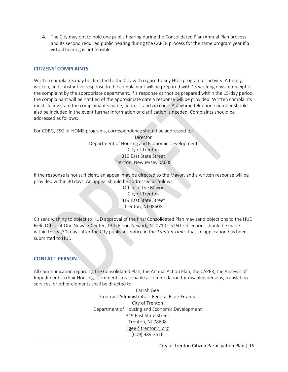4. The City may opt to hold one public hearing during the Consolidated Plan/Annual Plan process and its second required public hearing during the CAPER process for the same program year if a virtual hearing is not feasible.

# **CITIZENS' COMPLAINTS**

Written complaints may be directed to the City with regard to any HUD program or activity. A timely, written, and substantive response to the complainant will be prepared with 15 working days of receipt of the complaint by the appropriate department. If a response cannot be prepared within the 15-day period, the complainant will be notified of the approximate date a response will be provided. Written complaints must clearly state the complainant's name, address, and zip code. A daytime telephone number should also be included in the event further information or clarification is needed. Complaints should be addressed as follows:

For CDBG, ESG or HOME programs, correspondence should be addressed to:

Director Department of Housing and Economic Development City of Trenton 319 East State Street Trenton, New Jersey 08608

If the response is not sufficient, an appeal may be directed to the Mayor, and a written response will be provided within 30 days. An appeal should be addressed as follows:

Office of the Mayor City of Trenton 319 East State Street Trenton, NJ 08608

Citizens wishing to object to HUD approval of the final Consolidated Plan may send objections to the HUD Field Office at One Newark Center, 13th Floor, Newark, NJ 07102-5260. Objections should be made within thirty (30) days after the City publishes notice in the *Trenton Times* that an application has been submitted to HUD.

# **CONTACT PERSON**

All communication regarding the Consolidated Plan, the Annual Action Plan, the CAPER, the Analysis of Impediments to Fair Housing, comments, reasonable accommodation for disabled persons, translation services, or other elements shall be directed to:

> Farrah Gee Contract Administrator - Federal Block Grants City of Trenton Department of Housing and Economic Development 319 East State Street Trenton, NJ 08608 [Fgee@trentonnj.org](mailto:Fgee@trentonnj.org) (609) 989-3516